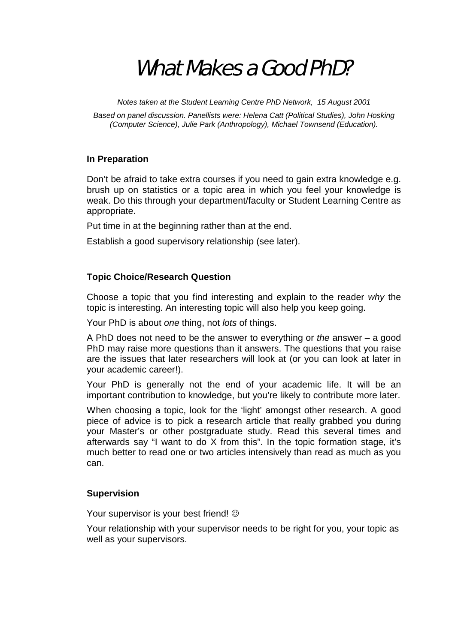# What Makes a Good PhD?

*Notes taken at the Student Learning Centre PhD Network, 15 August 2001* 

*Based on panel discussion. Panellists were: Helena Catt (Political Studies), John Hosking (Computer Science), Julie Park (Anthropology), Michael Townsend (Education).* 

# **In Preparation**

Don't be afraid to take extra courses if you need to gain extra knowledge e.g. brush up on statistics or a topic area in which you feel your knowledge is weak. Do this through your department/faculty or Student Learning Centre as appropriate.

Put time in at the beginning rather than at the end.

Establish a good supervisory relationship (see later).

# **Topic Choice/Research Question**

Choose a topic that you find interesting and explain to the reader *why* the topic is interesting. An interesting topic will also help you keep going.

Your PhD is about *one* thing, not *lots* of things.

A PhD does not need to be the answer to everything or *the* answer – a good PhD may raise more questions than it answers. The questions that you raise are the issues that later researchers will look at (or you can look at later in your academic career!).

Your PhD is generally not the end of your academic life. It will be an important contribution to knowledge, but you're likely to contribute more later.

When choosing a topic, look for the 'light' amongst other research. A good piece of advice is to pick a research article that really grabbed you during your Master's or other postgraduate study. Read this several times and afterwards say "I want to do X from this". In the topic formation stage, it's much better to read one or two articles intensively than read as much as you can.

# **Supervision**

Your supervisor is your best friend!  $\odot$ 

Your relationship with your supervisor needs to be right for you, your topic as well as your supervisors.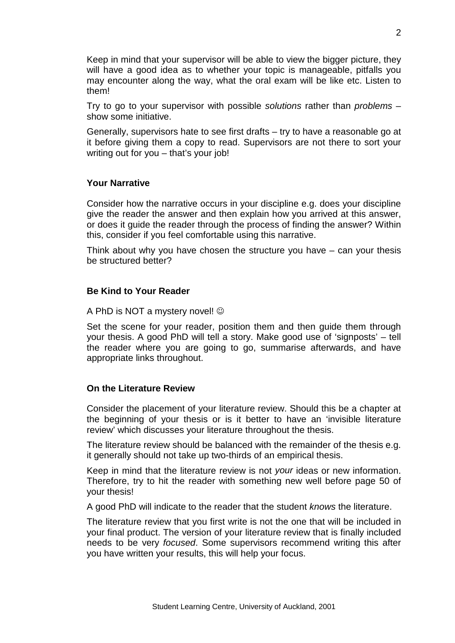Keep in mind that your supervisor will be able to view the bigger picture, they will have a good idea as to whether your topic is manageable, pitfalls you may encounter along the way, what the oral exam will be like etc. Listen to them!

Try to go to your supervisor with possible *solutions* rather than *problems* – show some initiative.

Generally, supervisors hate to see first drafts – try to have a reasonable go at it before giving them a copy to read. Supervisors are not there to sort your writing out for you – that's your job!

#### **Your Narrative**

Consider how the narrative occurs in your discipline e.g. does your discipline give the reader the answer and then explain how you arrived at this answer, or does it guide the reader through the process of finding the answer? Within this, consider if you feel comfortable using this narrative.

Think about why you have chosen the structure you have – can your thesis be structured better?

#### **Be Kind to Your Reader**

A PhD is NOT a mystery novel!  $\odot$ 

Set the scene for your reader, position them and then guide them through your thesis. A good PhD will tell a story. Make good use of 'signposts' – tell the reader where you are going to go, summarise afterwards, and have appropriate links throughout.

#### **On the Literature Review**

Consider the placement of your literature review. Should this be a chapter at the beginning of your thesis or is it better to have an 'invisible literature review' which discusses your literature throughout the thesis.

The literature review should be balanced with the remainder of the thesis e.g. it generally should not take up two-thirds of an empirical thesis.

Keep in mind that the literature review is not *your* ideas or new information. Therefore, try to hit the reader with something new well before page 50 of your thesis!

A good PhD will indicate to the reader that the student *knows* the literature.

The literature review that you first write is not the one that will be included in your final product. The version of your literature review that is finally included needs to be very *focused*. Some supervisors recommend writing this after you have written your results, this will help your focus.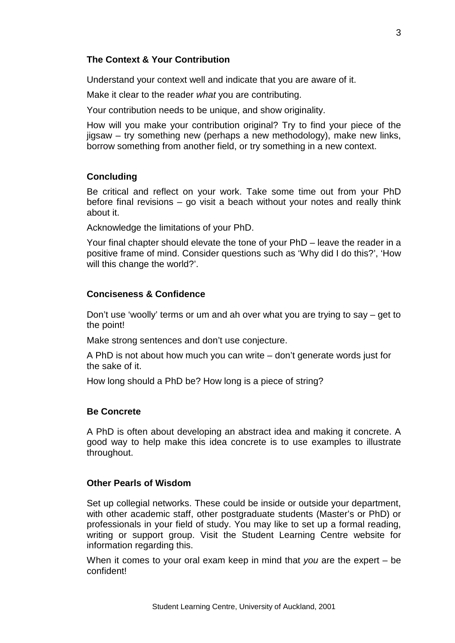Understand your context well and indicate that you are aware of it.

Make it clear to the reader *what* you are contributing.

Your contribution needs to be unique, and show originality.

How will you make your contribution original? Try to find your piece of the jigsaw – try something new (perhaps a new methodology), make new links, borrow something from another field, or try something in a new context.

# **Concluding**

Be critical and reflect on your work. Take some time out from your PhD before final revisions – go visit a beach without your notes and really think about it.

Acknowledge the limitations of your PhD.

Your final chapter should elevate the tone of your PhD – leave the reader in a positive frame of mind. Consider questions such as 'Why did I do this?', 'How will this change the world?'.

# **Conciseness & Confidence**

Don't use 'woolly' terms or um and ah over what you are trying to say – get to the point!

Make strong sentences and don't use conjecture.

A PhD is not about how much you can write – don't generate words just for the sake of it.

How long should a PhD be? How long is a piece of string?

# **Be Concrete**

A PhD is often about developing an abstract idea and making it concrete. A good way to help make this idea concrete is to use examples to illustrate throughout.

# **Other Pearls of Wisdom**

Set up collegial networks. These could be inside or outside your department, with other academic staff, other postgraduate students (Master's or PhD) or professionals in your field of study. You may like to set up a formal reading, writing or support group. Visit the Student Learning Centre website for information regarding this.

When it comes to your oral exam keep in mind that *you* are the expert – be confident!